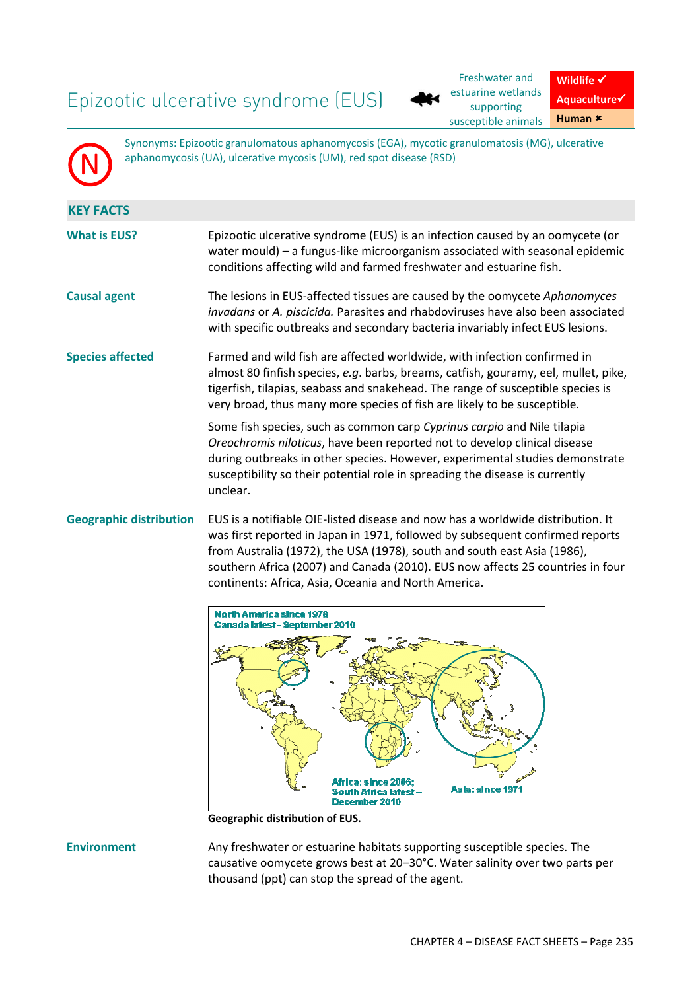# Epizootic ulcerative syndrome (EUS)

N



**Wildlife**  $\checkmark$ **Aquaculture**-**Human**

Synonyms: Epizootic granulomatous aphanomycosis (EGA), mycotic granulomatosis (MG), ulcerative aphanomycosis (UA), ulcerative mycosis (UM), red spot disease (RSD)

| <b>KEY FACTS</b>        |                                                                                                                                                                                                                                                                                                                                  |
|-------------------------|----------------------------------------------------------------------------------------------------------------------------------------------------------------------------------------------------------------------------------------------------------------------------------------------------------------------------------|
| <b>What is EUS?</b>     | Epizootic ulcerative syndrome (EUS) is an infection caused by an oomycete (or<br>water mould) - a fungus-like microorganism associated with seasonal epidemic<br>conditions affecting wild and farmed freshwater and estuarine fish.                                                                                             |
| <b>Causal agent</b>     | The lesions in EUS-affected tissues are caused by the oomycete Aphanomyces<br>invadans or A. piscicida. Parasites and rhabdoviruses have also been associated<br>with specific outbreaks and secondary bacteria invariably infect EUS lesions.                                                                                   |
| <b>Species affected</b> | Farmed and wild fish are affected worldwide, with infection confirmed in<br>almost 80 finfish species, e.g. barbs, breams, catfish, gouramy, eel, mullet, pike,<br>tigerfish, tilapias, seabass and snakehead. The range of susceptible species is<br>very broad, thus many more species of fish are likely to be susceptible.   |
|                         | Some fish species, such as common carp Cyprinus carpio and Nile tilapia<br>Oreochromis niloticus, have been reported not to develop clinical disease<br>during outbreaks in other species. However, experimental studies demonstrate<br>susceptibility so their potential role in spreading the disease is currently<br>unclear. |
|                         | Geographic distribution EUS is a notifiable OIE-listed disease and now has a worldwide distribution. It                                                                                                                                                                                                                          |

was first reported in Japan in 1971, followed by subsequent confirmed reports from Australia (1972), the USA (1978), south and south east Asia (1986), southern Africa (2007) and Canada (2010). EUS now affects 25 countries in four continents: Africa, Asia, Oceania and North America.



**Geographic distribution of EUS.** 

**Environment** Any freshwater or estuarine habitats supporting susceptible species. The causative oomycete grows best at 20–30°C. Water salinity over two parts per thousand (ppt) can stop the spread of the agent.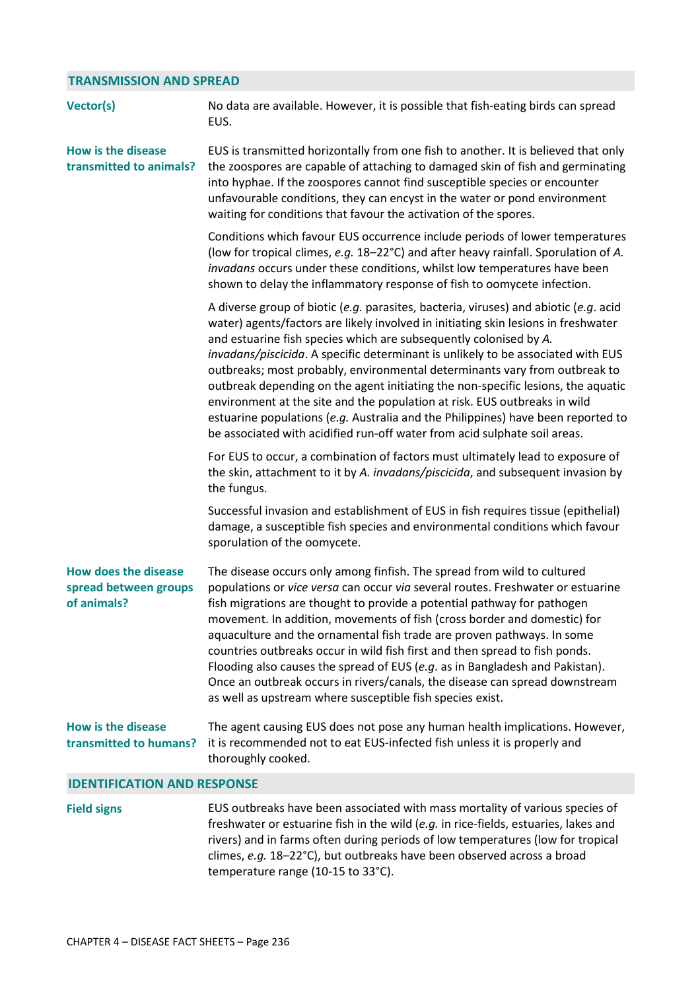### **TRANSMISSION AND SPREAD**

| Vector(s)                                                           | No data are available. However, it is possible that fish-eating birds can spread<br>EUS.                                                                                                                                                                                                                                                                                                                                                                                                                                                                                                                                                                                                                                                            |
|---------------------------------------------------------------------|-----------------------------------------------------------------------------------------------------------------------------------------------------------------------------------------------------------------------------------------------------------------------------------------------------------------------------------------------------------------------------------------------------------------------------------------------------------------------------------------------------------------------------------------------------------------------------------------------------------------------------------------------------------------------------------------------------------------------------------------------------|
| <b>How is the disease</b><br>transmitted to animals?                | EUS is transmitted horizontally from one fish to another. It is believed that only<br>the zoospores are capable of attaching to damaged skin of fish and germinating<br>into hyphae. If the zoospores cannot find susceptible species or encounter<br>unfavourable conditions, they can encyst in the water or pond environment<br>waiting for conditions that favour the activation of the spores.                                                                                                                                                                                                                                                                                                                                                 |
|                                                                     | Conditions which favour EUS occurrence include periods of lower temperatures<br>(low for tropical climes, e.g. 18-22°C) and after heavy rainfall. Sporulation of A.<br>invadans occurs under these conditions, whilst low temperatures have been<br>shown to delay the inflammatory response of fish to oomycete infection.                                                                                                                                                                                                                                                                                                                                                                                                                         |
|                                                                     | A diverse group of biotic (e.g. parasites, bacteria, viruses) and abiotic (e.g. acid<br>water) agents/factors are likely involved in initiating skin lesions in freshwater<br>and estuarine fish species which are subsequently colonised by A.<br>invadans/piscicida. A specific determinant is unlikely to be associated with EUS<br>outbreaks; most probably, environmental determinants vary from outbreak to<br>outbreak depending on the agent initiating the non-specific lesions, the aquatic<br>environment at the site and the population at risk. EUS outbreaks in wild<br>estuarine populations (e.g. Australia and the Philippines) have been reported to<br>be associated with acidified run-off water from acid sulphate soil areas. |
|                                                                     | For EUS to occur, a combination of factors must ultimately lead to exposure of<br>the skin, attachment to it by A. invadans/piscicida, and subsequent invasion by<br>the fungus.                                                                                                                                                                                                                                                                                                                                                                                                                                                                                                                                                                    |
|                                                                     | Successful invasion and establishment of EUS in fish requires tissue (epithelial)<br>damage, a susceptible fish species and environmental conditions which favour<br>sporulation of the oomycete.                                                                                                                                                                                                                                                                                                                                                                                                                                                                                                                                                   |
| <b>How does the disease</b><br>spread between groups<br>of animals? | The disease occurs only among finfish. The spread from wild to cultured<br>populations or vice versa can occur via several routes. Freshwater or estuarine<br>fish migrations are thought to provide a potential pathway for pathogen<br>movement. In addition, movements of fish (cross border and domestic) for<br>aquaculture and the ornamental fish trade are proven pathways. In some<br>countries outbreaks occur in wild fish first and then spread to fish ponds.<br>Flooding also causes the spread of EUS (e.g. as in Bangladesh and Pakistan).<br>Once an outbreak occurs in rivers/canals, the disease can spread downstream<br>as well as upstream where susceptible fish species exist.                                              |
| <b>How is the disease</b><br>transmitted to humans?                 | The agent causing EUS does not pose any human health implications. However,<br>it is recommended not to eat EUS-infected fish unless it is properly and<br>thoroughly cooked.                                                                                                                                                                                                                                                                                                                                                                                                                                                                                                                                                                       |
| <b>IDENTIFICATION AND RESPONSE</b>                                  |                                                                                                                                                                                                                                                                                                                                                                                                                                                                                                                                                                                                                                                                                                                                                     |
| <b>Field signs</b>                                                  | EUS outbreaks have been associated with mass mortality of various species of<br>freshwater or estuarine fish in the wild (e.g. in rice-fields, estuaries, lakes and                                                                                                                                                                                                                                                                                                                                                                                                                                                                                                                                                                                 |

freshwater or estuarine fish in the wild (*e.g.* in rice-fields, estuaries, lakes and rreshwater or estuarine fish in the wild (*e.g.* in rice-fields, estuaries, lakes and<br>rivers) and in farms often during periods of low temperatures (low for tropical climes, *e.g.* 18–22°C), but outbreaks have been observed across a broad temperature range (10-15 to 33°C).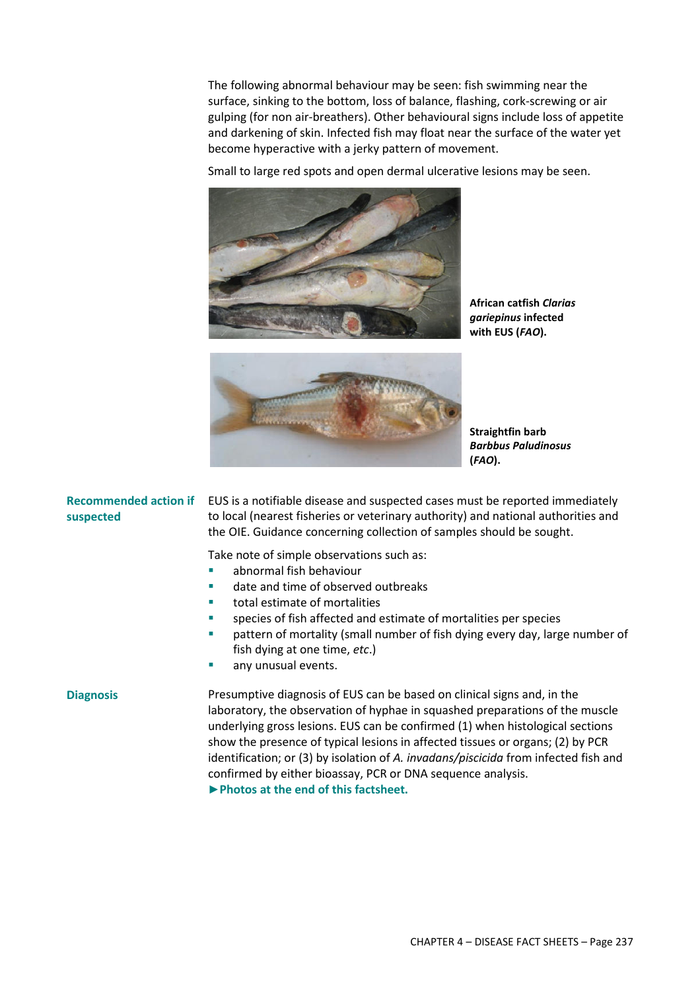The following abnormal behaviour may be seen: fish swimming near the surface, sinking to the bottom, loss of balance, flashing, cork-screwing or air gulping (for non air-breathers). Other behavioural signs include loss of appetite and darkening of skin. Infected fish may float near the surface of the water yet become hyperactive with a jerky pattern of movement.

Small to large red spots and open dermal ulcerative lesions may be seen.



**African catfish** *Clarias gariepinus* **infected with EUS (***FAO***).** 



**Straightfin barb**  *Barbbus Paludinosus* **(***FAO***).** 

#### **Recommended action if suspected**

EUS is a notifiable disease and suspected cases must be reported immediately to local (nearest fisheries or veterinary authority) and national authorities and the OIE. Guidance concerning collection of samples should be sought.

Take note of simple observations such as:

- **EXEC** abnormal fish behaviour
- date and time of observed outbreaks
- total estimate of mortalities
- species of fish affected and estimate of mortalities per species
- pattern of mortality (small number of fish dying every day, large number of fish dying at one time, *etc*.)
- any unusual events.

**Diagnosis** Presumptive diagnosis of EUS can be based on clinical signs and, in the laboratory, the observation of hyphae in squashed preparations of the muscle underlying gross lesions. EUS can be confirmed (1) when histological sections show the presence of typical lesions in affected tissues or organs; (2) by PCR identification; or (3) by isolation of *A. invadans/piscicida* from infected fish and confirmed by either bioassay, PCR or DNA sequence analysis. **►Photos at the end of this factsheet.**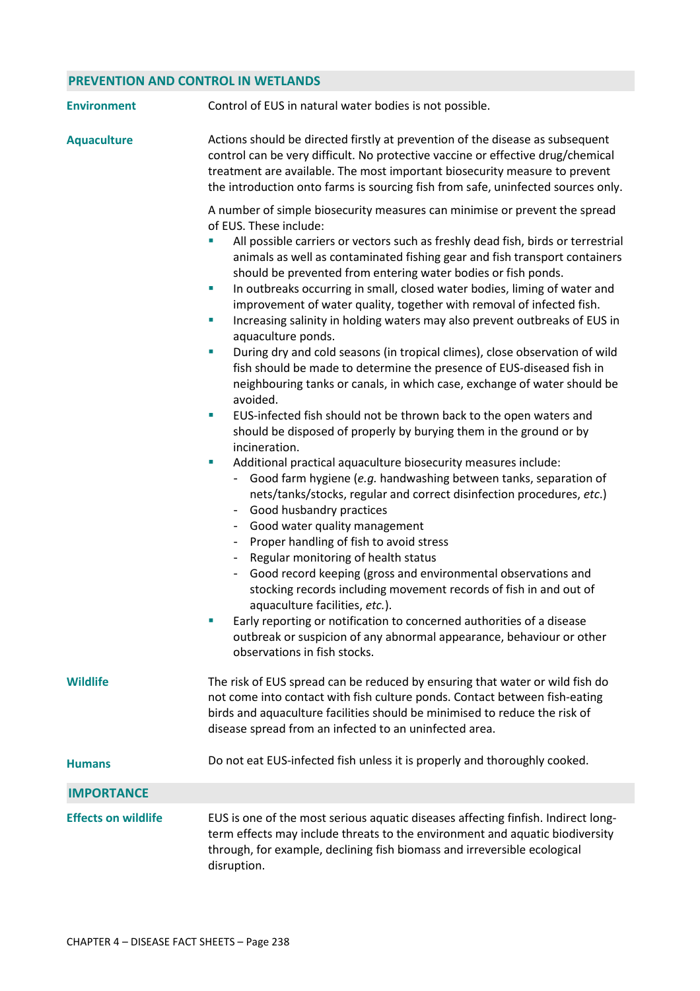## **PREVENTION AND CONTROL IN WETLANDS**

| <b>Environment</b>         | Control of EUS in natural water bodies is not possible.                                                                                                                                                                                                                                                                                                                                                                                                                                                                                                                                                                                                                                                                                                                                                                                                                                                                                                                                                                                                                                                                                                                                                                                                                                                                                                                                                                                                                                                                                                                                                                                                                                                                                                                                                                                                                            |
|----------------------------|------------------------------------------------------------------------------------------------------------------------------------------------------------------------------------------------------------------------------------------------------------------------------------------------------------------------------------------------------------------------------------------------------------------------------------------------------------------------------------------------------------------------------------------------------------------------------------------------------------------------------------------------------------------------------------------------------------------------------------------------------------------------------------------------------------------------------------------------------------------------------------------------------------------------------------------------------------------------------------------------------------------------------------------------------------------------------------------------------------------------------------------------------------------------------------------------------------------------------------------------------------------------------------------------------------------------------------------------------------------------------------------------------------------------------------------------------------------------------------------------------------------------------------------------------------------------------------------------------------------------------------------------------------------------------------------------------------------------------------------------------------------------------------------------------------------------------------------------------------------------------------|
| <b>Aquaculture</b>         | Actions should be directed firstly at prevention of the disease as subsequent<br>control can be very difficult. No protective vaccine or effective drug/chemical<br>treatment are available. The most important biosecurity measure to prevent<br>the introduction onto farms is sourcing fish from safe, uninfected sources only.                                                                                                                                                                                                                                                                                                                                                                                                                                                                                                                                                                                                                                                                                                                                                                                                                                                                                                                                                                                                                                                                                                                                                                                                                                                                                                                                                                                                                                                                                                                                                 |
|                            | A number of simple biosecurity measures can minimise or prevent the spread<br>of EUS. These include:<br>All possible carriers or vectors such as freshly dead fish, birds or terrestrial<br>animals as well as contaminated fishing gear and fish transport containers<br>should be prevented from entering water bodies or fish ponds.<br>In outbreaks occurring in small, closed water bodies, liming of water and<br>$\overline{\phantom{a}}$<br>improvement of water quality, together with removal of infected fish.<br>Increasing salinity in holding waters may also prevent outbreaks of EUS in<br>$\mathcal{L}_{\mathcal{A}}$<br>aquaculture ponds.<br>During dry and cold seasons (in tropical climes), close observation of wild<br>ш<br>fish should be made to determine the presence of EUS-diseased fish in<br>neighbouring tanks or canals, in which case, exchange of water should be<br>avoided.<br>EUS-infected fish should not be thrown back to the open waters and<br>$\blacksquare$<br>should be disposed of properly by burying them in the ground or by<br>incineration.<br>Additional practical aquaculture biosecurity measures include:<br>$\mathcal{L}_{\mathcal{A}}$<br>Good farm hygiene (e.g. handwashing between tanks, separation of<br>nets/tanks/stocks, regular and correct disinfection procedures, etc.)<br>Good husbandry practices<br>Good water quality management<br>Proper handling of fish to avoid stress<br>$\overline{\phantom{a}}$<br>Regular monitoring of health status<br>Good record keeping (gross and environmental observations and<br>stocking records including movement records of fish in and out of<br>aquaculture facilities, etc.).<br>Early reporting or notification to concerned authorities of a disease<br>outbreak or suspicion of any abnormal appearance, behaviour or other<br>observations in fish stocks. |
| Wildlife                   | The risk of EUS spread can be reduced by ensuring that water or wild fish do<br>not come into contact with fish culture ponds. Contact between fish-eating<br>birds and aquaculture facilities should be minimised to reduce the risk of<br>disease spread from an infected to an uninfected area.                                                                                                                                                                                                                                                                                                                                                                                                                                                                                                                                                                                                                                                                                                                                                                                                                                                                                                                                                                                                                                                                                                                                                                                                                                                                                                                                                                                                                                                                                                                                                                                 |
| <b>Humans</b>              | Do not eat EUS-infected fish unless it is properly and thoroughly cooked.                                                                                                                                                                                                                                                                                                                                                                                                                                                                                                                                                                                                                                                                                                                                                                                                                                                                                                                                                                                                                                                                                                                                                                                                                                                                                                                                                                                                                                                                                                                                                                                                                                                                                                                                                                                                          |
| <b>IMPORTANCE</b>          |                                                                                                                                                                                                                                                                                                                                                                                                                                                                                                                                                                                                                                                                                                                                                                                                                                                                                                                                                                                                                                                                                                                                                                                                                                                                                                                                                                                                                                                                                                                                                                                                                                                                                                                                                                                                                                                                                    |
| <b>Effects on wildlife</b> | EUS is one of the most serious aquatic diseases affecting finfish. Indirect long-<br>term effects may include threats to the environment and aquatic biodiversity<br>through, for example, declining fish biomass and irreversible ecological<br>disruption.                                                                                                                                                                                                                                                                                                                                                                                                                                                                                                                                                                                                                                                                                                                                                                                                                                                                                                                                                                                                                                                                                                                                                                                                                                                                                                                                                                                                                                                                                                                                                                                                                       |